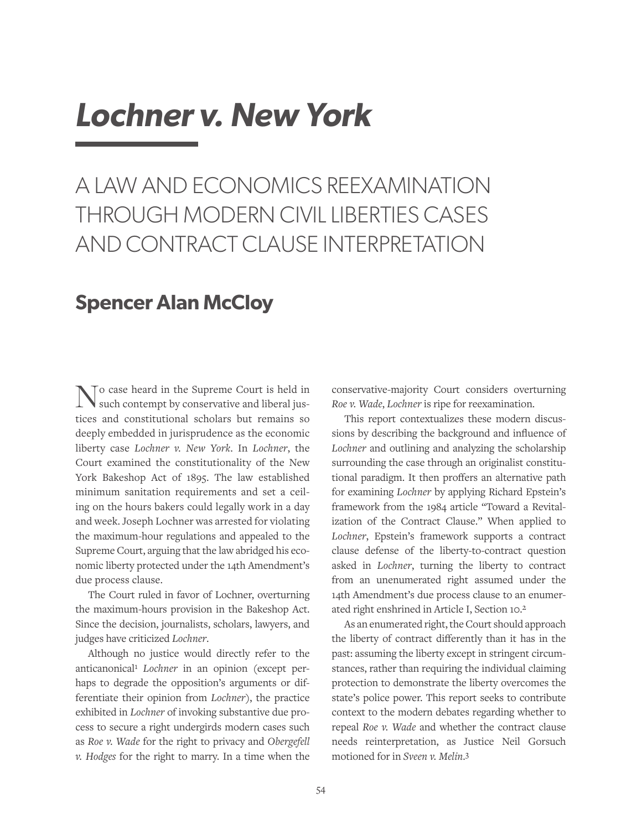# *Lochner v. New York*

### A LAW AND ECONOMICS REEXAMINATION THROUGH MODERN CIVIL LIBERTIES CASES AND CONTRACT CLAUSE INTERPRETATION

### **Spencer Alan McCloy**

No case heard in the Supreme Court is held in such contempt by conservative and liberal justices and constitutional scholars but remains so deeply embedded in jurisprudence as the economic liberty case *Lochner v. New York*. In *Lochner*, the Court examined the constitutionality of the New York Bakeshop Act of 1895. The law established minimum sanitation requirements and set a ceiling on the hours bakers could legally work in a day and week. Joseph Lochner was arrested for violating the maximum-hour regulations and appealed to the Supreme Court, arguing that the law abridged his economic liberty protected under the 14th Amendment's due process clause.

The Court ruled in favor of Lochner, overturning the maximum-hours provision in the Bakeshop Act. Since the decision, journalists, scholars, lawyers, and judges have criticized *Lochner*.

Although no justice would directly refer to the anticanonical1 *Lochner* in an opinion (except perhaps to degrade the opposition's arguments or differentiate their opinion from *Lochner*), the practice exhibited in *Lochner* of invoking substantive due process to secure a right undergirds modern cases such as *Roe v. Wade* for the right to privacy and *Obergefell v. Hodges* for the right to marry. In a time when the

conservative-majority Court considers overturning *Roe v. Wade*, *Lochner* is ripe for reexamination.

This report contextualizes these modern discussions by describing the background and influence of *Lochner* and outlining and analyzing the scholarship surrounding the case through an originalist constitutional paradigm. It then proffers an alternative path for examining *Lochner* by applying Richard Epstein's framework from the 1984 article "Toward a Revitalization of the Contract Clause." When applied to *Lochner*, Epstein's framework supports a contract clause defense of the liberty-to-contract question asked in *Lochner*, turning the liberty to contract from an unenumerated right assumed under the 14th Amendment's due process clause to an enumerated right enshrined in Article I, Section 10.2

As an enumerated right, the Court should approach the liberty of contract differently than it has in the past: assuming the liberty except in stringent circumstances, rather than requiring the individual claiming protection to demonstrate the liberty overcomes the state's police power. This report seeks to contribute context to the modern debates regarding whether to repeal *Roe v. Wade* and whether the contract clause needs reinterpretation, as Justice Neil Gorsuch motioned for in *Sveen v. Melin*. 3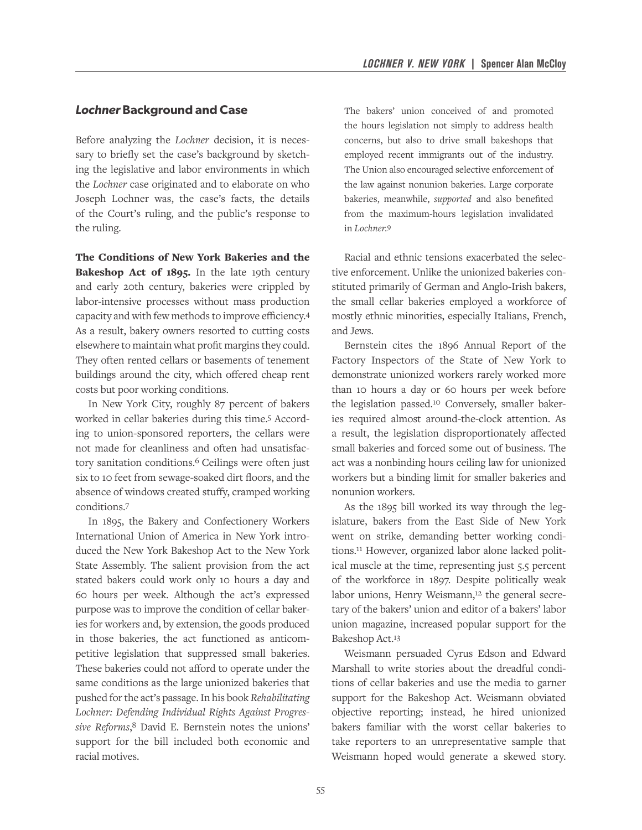#### *Lochner* **Background and Case**

Before analyzing the *Lochner* decision, it is necessary to briefly set the case's background by sketching the legislative and labor environments in which the *Lochner* case originated and to elaborate on who Joseph Lochner was, the case's facts, the details of the Court's ruling, and the public's response to the ruling.

The Conditions of New York Bakeries and the Bakeshop Act of 1895. In the late 19th century and early 20th century, bakeries were crippled by labor-intensive processes without mass production capacity and with few methods to improve efficiency.4 As a result, bakery owners resorted to cutting costs elsewhere to maintain what profit margins they could. They often rented cellars or basements of tenement buildings around the city, which offered cheap rent costs but poor working conditions.

In New York City, roughly 87 percent of bakers worked in cellar bakeries during this time.5 According to union-sponsored reporters, the cellars were not made for cleanliness and often had unsatisfactory sanitation conditions.6 Ceilings were often just six to 10 feet from sewage-soaked dirt floors, and the absence of windows created stuffy, cramped working conditions.7

In 1895, the Bakery and Confectionery Workers International Union of America in New York introduced the New York Bakeshop Act to the New York State Assembly. The salient provision from the act stated bakers could work only 10 hours a day and 60 hours per week. Although the act's expressed purpose was to improve the condition of cellar bakeries for workers and, by extension, the goods produced in those bakeries, the act functioned as anticompetitive legislation that suppressed small bakeries. These bakeries could not afford to operate under the same conditions as the large unionized bakeries that pushed for the act's passage. In his book *Rehabilitating Lochner: Defending Individual Rights Against Progressive Reforms*, 8 David E. Bernstein notes the unions' support for the bill included both economic and racial motives.

The bakers' union conceived of and promoted the hours legislation not simply to address health concerns, but also to drive small bakeshops that employed recent immigrants out of the industry. The Union also encouraged selective enforcement of the law against nonunion bakeries. Large corporate bakeries, meanwhile, *supported* and also benefited from the maximum-hours legislation invalidated in *Lochner.*9

Racial and ethnic tensions exacerbated the selective enforcement. Unlike the unionized bakeries constituted primarily of German and Anglo-Irish bakers, the small cellar bakeries employed a workforce of mostly ethnic minorities, especially Italians, French, and Jews.

Bernstein cites the 1896 Annual Report of the Factory Inspectors of the State of New York to demonstrate unionized workers rarely worked more than 10 hours a day or 60 hours per week before the legislation passed.10 Conversely, smaller bakeries required almost around-the-clock attention. As a result, the legislation disproportionately affected small bakeries and forced some out of business. The act was a nonbinding hours ceiling law for unionized workers but a binding limit for smaller bakeries and nonunion workers.

As the 1895 bill worked its way through the legislature, bakers from the East Side of New York went on strike, demanding better working conditions.11 However, organized labor alone lacked political muscle at the time, representing just 5.5 percent of the workforce in 1897. Despite politically weak labor unions, Henry Weismann,<sup>12</sup> the general secretary of the bakers' union and editor of a bakers' labor union magazine, increased popular support for the Bakeshop Act.13

Weismann persuaded Cyrus Edson and Edward Marshall to write stories about the dreadful conditions of cellar bakeries and use the media to garner support for the Bakeshop Act. Weismann obviated objective reporting; instead, he hired unionized bakers familiar with the worst cellar bakeries to take reporters to an unrepresentative sample that Weismann hoped would generate a skewed story.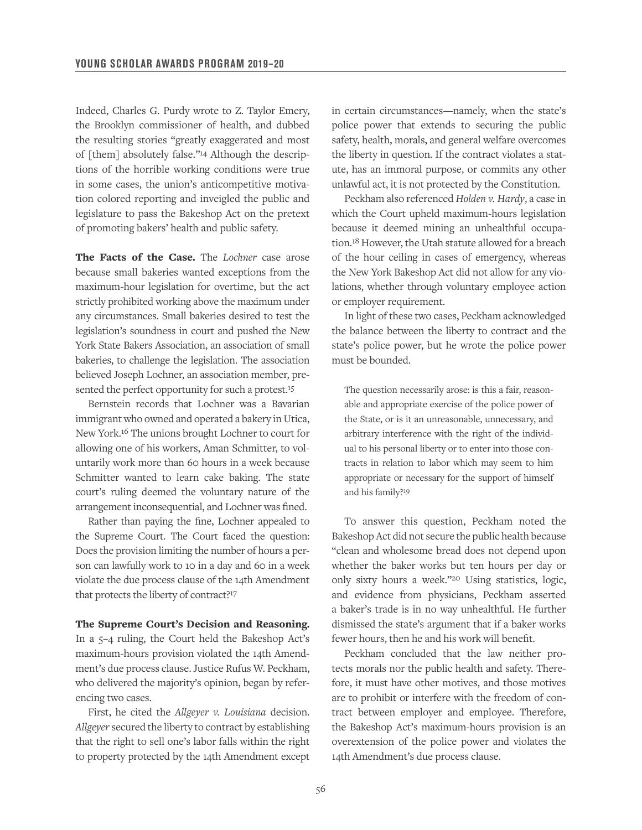Indeed, Charles G. Purdy wrote to Z. Taylor Emery, the Brooklyn commissioner of health, and dubbed the resulting stories "greatly exaggerated and most of [them] absolutely false."14 Although the descriptions of the horrible working conditions were true in some cases, the union's anticompetitive motivation colored reporting and inveigled the public and legislature to pass the Bakeshop Act on the pretext of promoting bakers' health and public safety.

The Facts of the Case. The *Lochner* case arose because small bakeries wanted exceptions from the maximum-hour legislation for overtime, but the act strictly prohibited working above the maximum under any circumstances. Small bakeries desired to test the legislation's soundness in court and pushed the New York State Bakers Association, an association of small bakeries, to challenge the legislation. The association believed Joseph Lochner, an association member, presented the perfect opportunity for such a protest.<sup>15</sup>

Bernstein records that Lochner was a Bavarian immigrant who owned and operated a bakery in Utica, New York.16 The unions brought Lochner to court for allowing one of his workers, Aman Schmitter, to voluntarily work more than 60 hours in a week because Schmitter wanted to learn cake baking. The state court's ruling deemed the voluntary nature of the arrangement inconsequential, and Lochner was fined.

Rather than paying the fine, Lochner appealed to the Supreme Court. The Court faced the question: Does the provision limiting the number of hours a person can lawfully work to 10 in a day and 60 in a week violate the due process clause of the 14th Amendment that protects the liberty of contract?17

The Supreme Court's Decision and Reasoning. In a 5–4 ruling, the Court held the Bakeshop Act's maximum-hours provision violated the 14th Amendment's due process clause. Justice Rufus W. Peckham, who delivered the majority's opinion, began by referencing two cases.

First, he cited the *Allgeyer v. Louisiana* decision. *Allgeyer* secured the liberty to contract by establishing that the right to sell one's labor falls within the right to property protected by the 14th Amendment except in certain circumstances—namely, when the state's police power that extends to securing the public safety, health, morals, and general welfare overcomes the liberty in question. If the contract violates a statute, has an immoral purpose, or commits any other unlawful act, it is not protected by the Constitution.

Peckham also referenced *Holden v. Hardy*, a case in which the Court upheld maximum-hours legislation because it deemed mining an unhealthful occupation.18 However, the Utah statute allowed for a breach of the hour ceiling in cases of emergency, whereas the New York Bakeshop Act did not allow for any violations, whether through voluntary employee action or employer requirement.

In light of these two cases, Peckham acknowledged the balance between the liberty to contract and the state's police power, but he wrote the police power must be bounded.

The question necessarily arose: is this a fair, reasonable and appropriate exercise of the police power of the State, or is it an unreasonable, unnecessary, and arbitrary interference with the right of the individual to his personal liberty or to enter into those contracts in relation to labor which may seem to him appropriate or necessary for the support of himself and his family?19

To answer this question, Peckham noted the Bakeshop Act did not secure the public health because "clean and wholesome bread does not depend upon whether the baker works but ten hours per day or only sixty hours a week."20 Using statistics, logic, and evidence from physicians, Peckham asserted a baker's trade is in no way unhealthful. He further dismissed the state's argument that if a baker works fewer hours, then he and his work will benefit.

Peckham concluded that the law neither protects morals nor the public health and safety. Therefore, it must have other motives, and those motives are to prohibit or interfere with the freedom of contract between employer and employee. Therefore, the Bakeshop Act's maximum-hours provision is an overextension of the police power and violates the 14th Amendment's due process clause.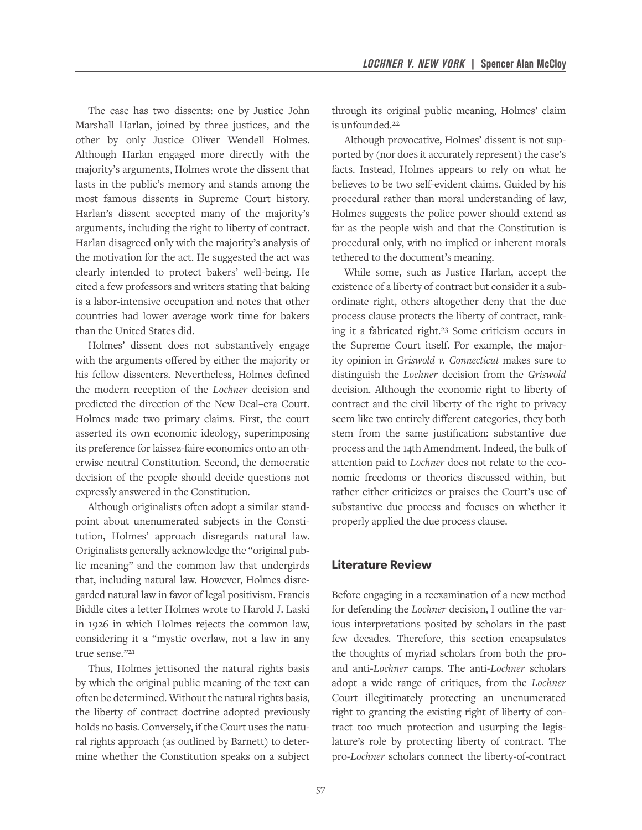The case has two dissents: one by Justice John Marshall Harlan, joined by three justices, and the other by only Justice Oliver Wendell Holmes. Although Harlan engaged more directly with the majority's arguments, Holmes wrote the dissent that lasts in the public's memory and stands among the most famous dissents in Supreme Court history. Harlan's dissent accepted many of the majority's arguments, including the right to liberty of contract. Harlan disagreed only with the majority's analysis of the motivation for the act. He suggested the act was clearly intended to protect bakers' well-being. He cited a few professors and writers stating that baking is a labor-intensive occupation and notes that other countries had lower average work time for bakers than the United States did.

Holmes' dissent does not substantively engage with the arguments offered by either the majority or his fellow dissenters. Nevertheless, Holmes defined the modern reception of the *Lochner* decision and predicted the direction of the New Deal–era Court. Holmes made two primary claims. First, the court asserted its own economic ideology, superimposing its preference for laissez-faire economics onto an otherwise neutral Constitution. Second, the democratic decision of the people should decide questions not expressly answered in the Constitution.

Although originalists often adopt a similar standpoint about unenumerated subjects in the Constitution, Holmes' approach disregards natural law. Originalists generally acknowledge the "original public meaning" and the common law that undergirds that, including natural law. However, Holmes disregarded natural law in favor of legal positivism. Francis Biddle cites a letter Holmes wrote to Harold J. Laski in 1926 in which Holmes rejects the common law, considering it a "mystic overlaw, not a law in any true sense."21

Thus, Holmes jettisoned the natural rights basis by which the original public meaning of the text can often be determined. Without the natural rights basis, the liberty of contract doctrine adopted previously holds no basis. Conversely, if the Court uses the natural rights approach (as outlined by Barnett) to determine whether the Constitution speaks on a subject through its original public meaning, Holmes' claim is unfounded.22

Although provocative, Holmes' dissent is not supported by (nor does it accurately represent) the case's facts. Instead, Holmes appears to rely on what he believes to be two self-evident claims. Guided by his procedural rather than moral understanding of law, Holmes suggests the police power should extend as far as the people wish and that the Constitution is procedural only, with no implied or inherent morals tethered to the document's meaning.

While some, such as Justice Harlan, accept the existence of a liberty of contract but consider it a subordinate right, others altogether deny that the due process clause protects the liberty of contract, ranking it a fabricated right.23 Some criticism occurs in the Supreme Court itself. For example, the majority opinion in *Griswold v. Connecticut* makes sure to distinguish the *Lochner* decision from the *Griswold*  decision. Although the economic right to liberty of contract and the civil liberty of the right to privacy seem like two entirely different categories, they both stem from the same justification: substantive due process and the 14th Amendment. Indeed, the bulk of attention paid to *Lochner* does not relate to the economic freedoms or theories discussed within, but rather either criticizes or praises the Court's use of substantive due process and focuses on whether it properly applied the due process clause.

#### **Literature Review**

Before engaging in a reexamination of a new method for defending the *Lochner* decision, I outline the various interpretations posited by scholars in the past few decades. Therefore, this section encapsulates the thoughts of myriad scholars from both the proand anti-*Lochner* camps. The anti-*Lochner* scholars adopt a wide range of critiques, from the *Lochner*  Court illegitimately protecting an unenumerated right to granting the existing right of liberty of contract too much protection and usurping the legislature's role by protecting liberty of contract. The pro-*Lochner* scholars connect the liberty-of-contract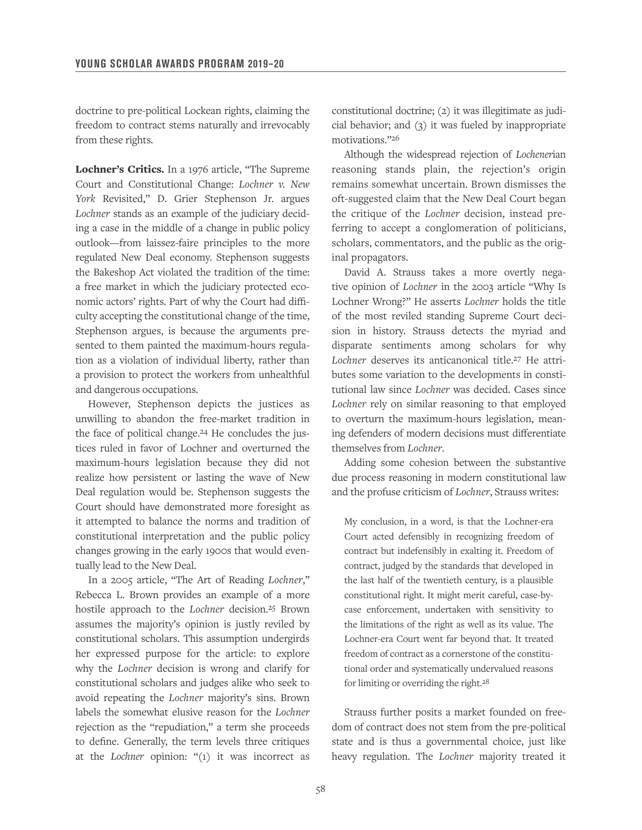doctrine to pre-political Lockean rights, claiming the freedom to contract stems naturally and irrevocably from these rights.

Lochner's Critics. In a 1976 article, "The Supreme Court and Constitutional Change: *Lochner v. New York* Revisited," D. Grier Stephenson Jr. argues *Lochner* stands as an example of the judiciary deciding a case in the middle of a change in public policy outlook—from laissez-faire principles to the more regulated New Deal economy. Stephenson suggests the Bakeshop Act violated the tradition of the time: a free market in which the judiciary protected economic actors' rights. Part of why the Court had difficulty accepting the constitutional change of the time, Stephenson argues, is because the arguments presented to them painted the maximum-hours regulation as a violation of individual liberty, rather than a provision to protect the workers from unhealthful and dangerous occupations.

However, Stephenson depicts the justices as unwilling to abandon the free-market tradition in the face of political change.24 He concludes the justices ruled in favor of Lochner and overturned the maximum-hours legislation because they did not realize how persistent or lasting the wave of New Deal regulation would be. Stephenson suggests the Court should have demonstrated more foresight as it attempted to balance the norms and tradition of constitutional interpretation and the public policy changes growing in the early 1900s that would eventually lead to the New Deal.

In a 2005 article, "The Art of Reading *Lochner*," Rebecca L. Brown provides an example of a more hostile approach to the *Lochner* decision.25 Brown assumes the majority's opinion is justly reviled by constitutional scholars. This assumption undergirds her expressed purpose for the article: to explore why the *Lochner* decision is wrong and clarify for constitutional scholars and judges alike who seek to avoid repeating the *Lochner* majority's sins. Brown labels the somewhat elusive reason for the *Lochner*  rejection as the "repudiation," a term she proceeds to define. Generally, the term levels three critiques at the *Lochner* opinion: "(1) it was incorrect as

constitutional doctrine; (2) it was illegitimate as judicial behavior; and (3) it was fueled by inappropriate motivations."26

Although the widespread rejection of *Lochener*ian reasoning stands plain, the rejection's origin remains somewhat uncertain. Brown dismisses the oft-suggested claim that the New Deal Court began the critique of the *Lochner* decision, instead preferring to accept a conglomeration of politicians, scholars, commentators, and the public as the original propagators.

David A. Strauss takes a more overtly negative opinion of *Lochner* in the 2003 article "Why Is Lochner Wrong?" He asserts *Lochner* holds the title of the most reviled standing Supreme Court decision in history. Strauss detects the myriad and disparate sentiments among scholars for why Lochner deserves its anticanonical title.<sup>27</sup> He attributes some variation to the developments in constitutional law since *Lochner* was decided. Cases since *Lochner* rely on similar reasoning to that employed to overturn the maximum-hours legislation, meaning defenders of modern decisions must differentiate themselves from *Lochner*.

Adding some cohesion between the substantive due process reasoning in modern constitutional law and the profuse criticism of *Lochner*, Strauss writes:

My conclusion, in a word, is that the Lochner-era Court acted defensibly in recognizing freedom of contract but indefensibly in exalting it. Freedom of contract, judged by the standards that developed in the last half of the twentieth century, is a plausible constitutional right. It might merit careful, case-bycase enforcement, undertaken with sensitivity to the limitations of the right as well as its value. The Lochner-era Court went far beyond that. It treated freedom of contract as a cornerstone of the constitutional order and systematically undervalued reasons for limiting or overriding the right.<sup>28</sup>

Strauss further posits a market founded on freedom of contract does not stem from the pre-political state and is thus a governmental choice, just like heavy regulation. The *Lochner* majority treated it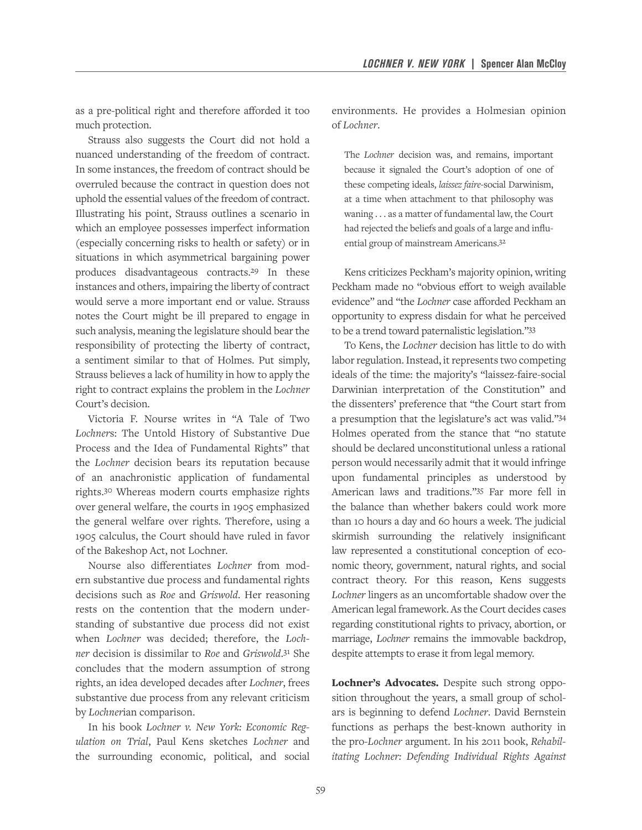as a pre-political right and therefore afforded it too much protection.

Strauss also suggests the Court did not hold a nuanced understanding of the freedom of contract. In some instances, the freedom of contract should be overruled because the contract in question does not uphold the essential values of the freedom of contract. Illustrating his point, Strauss outlines a scenario in which an employee possesses imperfect information (especially concerning risks to health or safety) or in situations in which asymmetrical bargaining power produces disadvantageous contracts.29 In these instances and others, impairing the liberty of contract would serve a more important end or value. Strauss notes the Court might be ill prepared to engage in such analysis, meaning the legislature should bear the responsibility of protecting the liberty of contract, a sentiment similar to that of Holmes. Put simply, Strauss believes a lack of humility in how to apply the right to contract explains the problem in the *Lochner* Court's decision.

Victoria F. Nourse writes in "A Tale of Two *Lochner*s: The Untold History of Substantive Due Process and the Idea of Fundamental Rights" that the *Lochner* decision bears its reputation because of an anachronistic application of fundamental rights.30 Whereas modern courts emphasize rights over general welfare, the courts in 1905 emphasized the general welfare over rights. Therefore, using a 1905 calculus, the Court should have ruled in favor of the Bakeshop Act, not Lochner.

Nourse also differentiates *Lochner* from modern substantive due process and fundamental rights decisions such as *Roe* and *Griswold*. Her reasoning rests on the contention that the modern understanding of substantive due process did not exist when *Lochner* was decided; therefore, the *Lochner* decision is dissimilar to *Roe* and *Griswold*. 31 She concludes that the modern assumption of strong rights, an idea developed decades after *Lochner*, frees substantive due process from any relevant criticism by *Lochner*ian comparison.

In his book *Lochner v. New York: Economic Regulation on Trial*, Paul Kens sketches *Lochner* and the surrounding economic, political, and social environments. He provides a Holmesian opinion of *Lochner*.

The *Lochner* decision was, and remains, important because it signaled the Court's adoption of one of these competing ideals, *laissez faire*-social Darwinism, at a time when attachment to that philosophy was waning . . . as a matter of fundamental law, the Court had rejected the beliefs and goals of a large and influential group of mainstream Americans.32

Kens criticizes Peckham's majority opinion, writing Peckham made no "obvious effort to weigh available evidence" and "the *Lochner* case afforded Peckham an opportunity to express disdain for what he perceived to be a trend toward paternalistic legislation."33

To Kens, the *Lochner* decision has little to do with labor regulation. Instead, it represents two competing ideals of the time: the majority's "laissez-faire-social Darwinian interpretation of the Constitution" and the dissenters' preference that "the Court start from a presumption that the legislature's act was valid."34 Holmes operated from the stance that "no statute should be declared unconstitutional unless a rational person would necessarily admit that it would infringe upon fundamental principles as understood by American laws and traditions."35 Far more fell in the balance than whether bakers could work more than 10 hours a day and 60 hours a week. The judicial skirmish surrounding the relatively insignificant law represented a constitutional conception of economic theory, government, natural rights, and social contract theory. For this reason, Kens suggests *Lochner* lingers as an uncomfortable shadow over the American legal framework. As the Court decides cases regarding constitutional rights to privacy, abortion, or marriage, *Lochner* remains the immovable backdrop, despite attempts to erase it from legal memory.

Lochner's Advocates. Despite such strong opposition throughout the years, a small group of scholars is beginning to defend *Lochner*. David Bernstein functions as perhaps the best-known authority in the pro-*Lochner* argument. In his 2011 book, *Rehabilitating Lochner: Defending Individual Rights Against*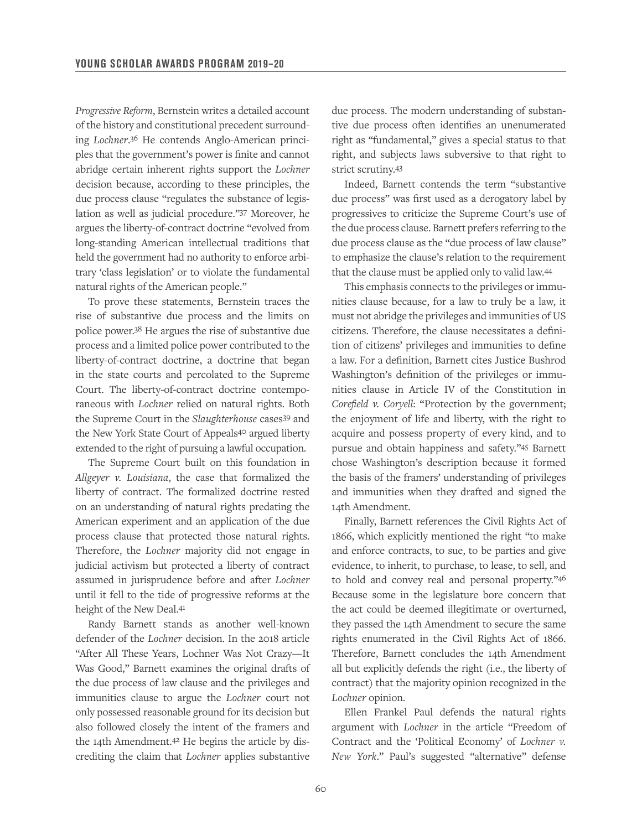*Progressive Reform*, Bernstein writes a detailed account of the history and constitutional precedent surrounding *Lochner*. 36 He contends Anglo-American principles that the government's power is finite and cannot abridge certain inherent rights support the *Lochner*  decision because, according to these principles, the due process clause "regulates the substance of legislation as well as judicial procedure."37 Moreover, he argues the liberty-of-contract doctrine "evolved from long-standing American intellectual traditions that held the government had no authority to enforce arbitrary 'class legislation' or to violate the fundamental natural rights of the American people."

To prove these statements, Bernstein traces the rise of substantive due process and the limits on police power.38 He argues the rise of substantive due process and a limited police power contributed to the liberty-of-contract doctrine, a doctrine that began in the state courts and percolated to the Supreme Court. The liberty-of-contract doctrine contemporaneous with *Lochner* relied on natural rights. Both the Supreme Court in the *Slaughterhouse* cases39 and the New York State Court of Appeals40 argued liberty extended to the right of pursuing a lawful occupation.

The Supreme Court built on this foundation in *Allgeyer v. Louisiana*, the case that formalized the liberty of contract. The formalized doctrine rested on an understanding of natural rights predating the American experiment and an application of the due process clause that protected those natural rights. Therefore, the *Lochner* majority did not engage in judicial activism but protected a liberty of contract assumed in jurisprudence before and after *Lochner*  until it fell to the tide of progressive reforms at the height of the New Deal.41

Randy Barnett stands as another well-known defender of the *Lochner* decision. In the 2018 article "After All These Years, Lochner Was Not Crazy—It Was Good," Barnett examines the original drafts of the due process of law clause and the privileges and immunities clause to argue the *Lochner* court not only possessed reasonable ground for its decision but also followed closely the intent of the framers and the 14th Amendment.42 He begins the article by discrediting the claim that *Lochner* applies substantive

due process. The modern understanding of substantive due process often identifies an unenumerated right as "fundamental," gives a special status to that right, and subjects laws subversive to that right to strict scrutiny.43

Indeed, Barnett contends the term "substantive due process" was first used as a derogatory label by progressives to criticize the Supreme Court's use of the due process clause. Barnett prefers referring to the due process clause as the "due process of law clause" to emphasize the clause's relation to the requirement that the clause must be applied only to valid law.44

This emphasis connects to the privileges or immunities clause because, for a law to truly be a law, it must not abridge the privileges and immunities of US citizens. Therefore, the clause necessitates a definition of citizens' privileges and immunities to define a law. For a definition, Barnett cites Justice Bushrod Washington's definition of the privileges or immunities clause in Article IV of the Constitution in *Corefield v. Coryell*: "Protection by the government; the enjoyment of life and liberty, with the right to acquire and possess property of every kind, and to pursue and obtain happiness and safety."45 Barnett chose Washington's description because it formed the basis of the framers' understanding of privileges and immunities when they drafted and signed the 14th Amendment.

Finally, Barnett references the Civil Rights Act of 1866, which explicitly mentioned the right "to make and enforce contracts, to sue, to be parties and give evidence, to inherit, to purchase, to lease, to sell, and to hold and convey real and personal property."46 Because some in the legislature bore concern that the act could be deemed illegitimate or overturned, they passed the 14th Amendment to secure the same rights enumerated in the Civil Rights Act of 1866. Therefore, Barnett concludes the 14th Amendment all but explicitly defends the right (i.e., the liberty of contract) that the majority opinion recognized in the *Lochner* opinion.

Ellen Frankel Paul defends the natural rights argument with *Lochner* in the article "Freedom of Contract and the 'Political Economy' of *Lochner v. New York*." Paul's suggested "alternative" defense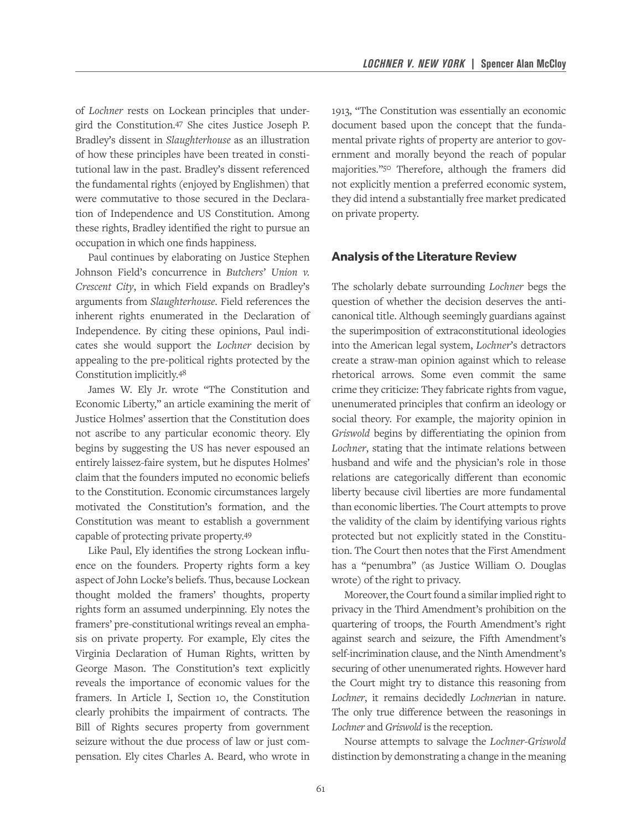of *Lochner* rests on Lockean principles that undergird the Constitution.47 She cites Justice Joseph P. Bradley's dissent in *Slaughterhouse* as an illustration of how these principles have been treated in constitutional law in the past. Bradley's dissent referenced the fundamental rights (enjoyed by Englishmen) that were commutative to those secured in the Declaration of Independence and US Constitution. Among these rights, Bradley identified the right to pursue an occupation in which one finds happiness.

Paul continues by elaborating on Justice Stephen Johnson Field's concurrence in *Butchers' Union v. Crescent City*, in which Field expands on Bradley's arguments from *Slaughterhouse*. Field references the inherent rights enumerated in the Declaration of Independence. By citing these opinions, Paul indicates she would support the *Lochner* decision by appealing to the pre-political rights protected by the Constitution implicitly.48

James W. Ely Jr. wrote "The Constitution and Economic Liberty," an article examining the merit of Justice Holmes' assertion that the Constitution does not ascribe to any particular economic theory. Ely begins by suggesting the US has never espoused an entirely laissez-faire system, but he disputes Holmes' claim that the founders imputed no economic beliefs to the Constitution. Economic circumstances largely motivated the Constitution's formation, and the Constitution was meant to establish a government capable of protecting private property.49

Like Paul, Ely identifies the strong Lockean influence on the founders. Property rights form a key aspect of John Locke's beliefs. Thus, because Lockean thought molded the framers' thoughts, property rights form an assumed underpinning. Ely notes the framers' pre-constitutional writings reveal an emphasis on private property. For example, Ely cites the Virginia Declaration of Human Rights, written by George Mason. The Constitution's text explicitly reveals the importance of economic values for the framers. In Article I, Section 10, the Constitution clearly prohibits the impairment of contracts. The Bill of Rights secures property from government seizure without the due process of law or just compensation. Ely cites Charles A. Beard, who wrote in

1913, "The Constitution was essentially an economic document based upon the concept that the fundamental private rights of property are anterior to government and morally beyond the reach of popular majorities."50 Therefore, although the framers did not explicitly mention a preferred economic system, they did intend a substantially free market predicated on private property.

#### **Analysis of the Literature Review**

The scholarly debate surrounding *Lochner* begs the question of whether the decision deserves the anticanonical title. Although seemingly guardians against the superimposition of extraconstitutional ideologies into the American legal system, *Lochner*'s detractors create a straw-man opinion against which to release rhetorical arrows. Some even commit the same crime they criticize: They fabricate rights from vague, unenumerated principles that confirm an ideology or social theory. For example, the majority opinion in *Griswold* begins by differentiating the opinion from *Lochner*, stating that the intimate relations between husband and wife and the physician's role in those relations are categorically different than economic liberty because civil liberties are more fundamental than economic liberties. The Court attempts to prove the validity of the claim by identifying various rights protected but not explicitly stated in the Constitution. The Court then notes that the First Amendment has a "penumbra" (as Justice William O. Douglas wrote) of the right to privacy.

Moreover, the Court found a similar implied right to privacy in the Third Amendment's prohibition on the quartering of troops, the Fourth Amendment's right against search and seizure, the Fifth Amendment's self-incrimination clause, and the Ninth Amendment's securing of other unenumerated rights. However hard the Court might try to distance this reasoning from *Lochner*, it remains decidedly *Lochner*ian in nature. The only true difference between the reasonings in *Lochner* and *Griswold* is the reception.

Nourse attempts to salvage the *Lochner*-*Griswold* distinction by demonstrating a change in the meaning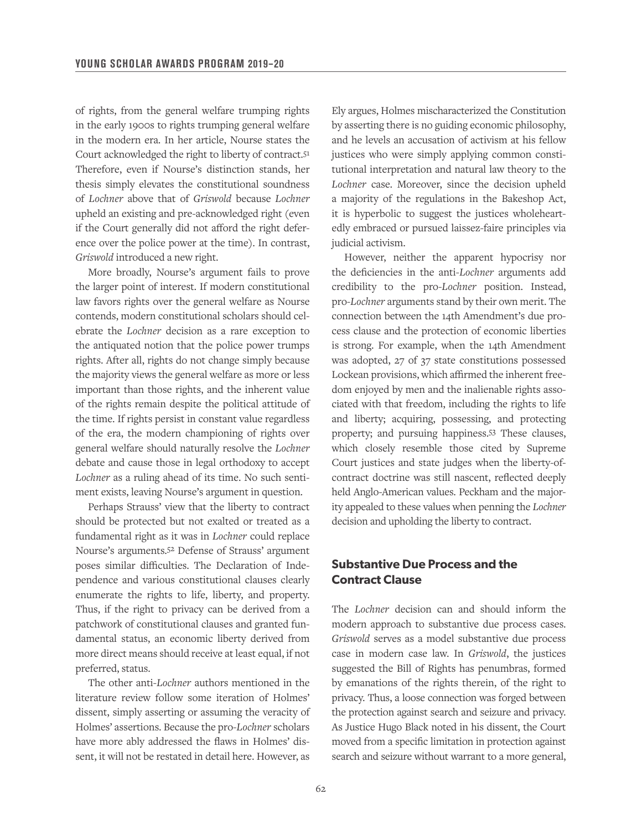of rights, from the general welfare trumping rights in the early 1900s to rights trumping general welfare in the modern era. In her article, Nourse states the Court acknowledged the right to liberty of contract.51 Therefore, even if Nourse's distinction stands, her thesis simply elevates the constitutional soundness of *Lochner* above that of *Griswold* because *Lochner*  upheld an existing and pre-acknowledged right (even if the Court generally did not afford the right deference over the police power at the time). In contrast, *Griswold* introduced a new right.

More broadly, Nourse's argument fails to prove the larger point of interest. If modern constitutional law favors rights over the general welfare as Nourse contends, modern constitutional scholars should celebrate the *Lochner* decision as a rare exception to the antiquated notion that the police power trumps rights. After all, rights do not change simply because the majority views the general welfare as more or less important than those rights, and the inherent value of the rights remain despite the political attitude of the time. If rights persist in constant value regardless of the era, the modern championing of rights over general welfare should naturally resolve the *Lochner*  debate and cause those in legal orthodoxy to accept *Lochner* as a ruling ahead of its time. No such sentiment exists, leaving Nourse's argument in question.

Perhaps Strauss' view that the liberty to contract should be protected but not exalted or treated as a fundamental right as it was in *Lochner* could replace Nourse's arguments.52 Defense of Strauss' argument poses similar difficulties. The Declaration of Independence and various constitutional clauses clearly enumerate the rights to life, liberty, and property. Thus, if the right to privacy can be derived from a patchwork of constitutional clauses and granted fundamental status, an economic liberty derived from more direct means should receive at least equal, if not preferred, status.

The other anti-*Lochner* authors mentioned in the literature review follow some iteration of Holmes' dissent, simply asserting or assuming the veracity of Holmes' assertions. Because the pro-*Lochner* scholars have more ably addressed the flaws in Holmes' dissent, it will not be restated in detail here. However, as

Ely argues, Holmes mischaracterized the Constitution by asserting there is no guiding economic philosophy, and he levels an accusation of activism at his fellow justices who were simply applying common constitutional interpretation and natural law theory to the *Lochner* case. Moreover, since the decision upheld a majority of the regulations in the Bakeshop Act, it is hyperbolic to suggest the justices wholeheartedly embraced or pursued laissez-faire principles via judicial activism.

However, neither the apparent hypocrisy nor the deficiencies in the anti-*Lochner* arguments add credibility to the pro-*Lochner* position. Instead, pro-*Lochner* arguments stand by their own merit. The connection between the 14th Amendment's due process clause and the protection of economic liberties is strong. For example, when the 14th Amendment was adopted, 27 of 37 state constitutions possessed Lockean provisions, which affirmed the inherent freedom enjoyed by men and the inalienable rights associated with that freedom, including the rights to life and liberty; acquiring, possessing, and protecting property; and pursuing happiness.53 These clauses, which closely resemble those cited by Supreme Court justices and state judges when the liberty-ofcontract doctrine was still nascent, reflected deeply held Anglo-American values. Peckham and the majority appealed to these values when penning the *Lochner*  decision and upholding the liberty to contract.

#### **Substantive Due Process and the Contract Clause**

The *Lochner* decision can and should inform the modern approach to substantive due process cases. *Griswold* serves as a model substantive due process case in modern case law. In *Griswold*, the justices suggested the Bill of Rights has penumbras, formed by emanations of the rights therein, of the right to privacy. Thus, a loose connection was forged between the protection against search and seizure and privacy. As Justice Hugo Black noted in his dissent, the Court moved from a specific limitation in protection against search and seizure without warrant to a more general,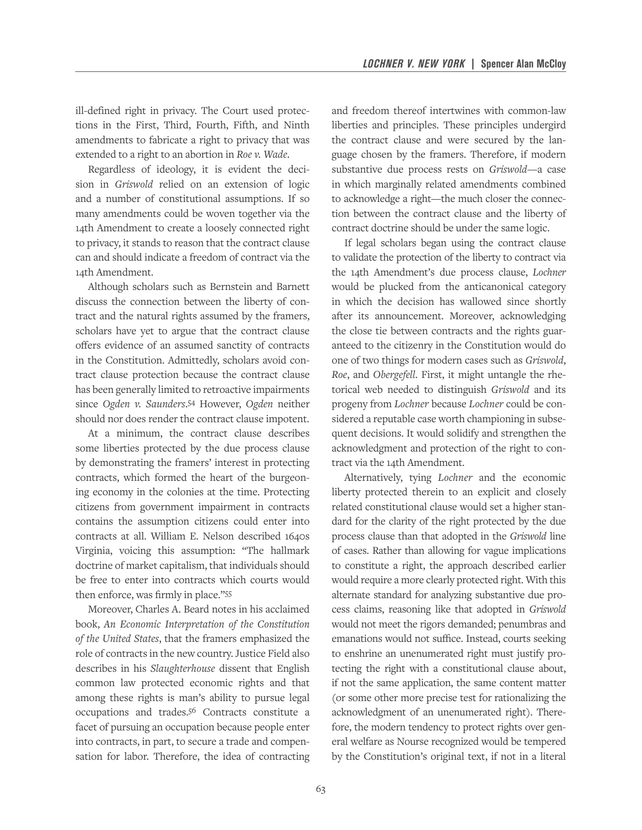ill-defined right in privacy. The Court used protections in the First, Third, Fourth, Fifth, and Ninth amendments to fabricate a right to privacy that was extended to a right to an abortion in *Roe v. Wade*.

Regardless of ideology, it is evident the decision in *Griswold* relied on an extension of logic and a number of constitutional assumptions. If so many amendments could be woven together via the 14th Amendment to create a loosely connected right to privacy, it stands to reason that the contract clause can and should indicate a freedom of contract via the 14th Amendment.

Although scholars such as Bernstein and Barnett discuss the connection between the liberty of contract and the natural rights assumed by the framers, scholars have yet to argue that the contract clause offers evidence of an assumed sanctity of contracts in the Constitution. Admittedly, scholars avoid contract clause protection because the contract clause has been generally limited to retroactive impairments since *Ogden v. Saunders*. 54 However, *Ogden* neither should nor does render the contract clause impotent.

At a minimum, the contract clause describes some liberties protected by the due process clause by demonstrating the framers' interest in protecting contracts, which formed the heart of the burgeoning economy in the colonies at the time. Protecting citizens from government impairment in contracts contains the assumption citizens could enter into contracts at all. William E. Nelson described 1640s Virginia, voicing this assumption: "The hallmark doctrine of market capitalism, that individuals should be free to enter into contracts which courts would then enforce, was firmly in place."55

Moreover, Charles A. Beard notes in his acclaimed book, *An Economic Interpretation of the Constitution of the United States*, that the framers emphasized the role of contracts in the new country. Justice Field also describes in his *Slaughterhouse* dissent that English common law protected economic rights and that among these rights is man's ability to pursue legal occupations and trades.56 Contracts constitute a facet of pursuing an occupation because people enter into contracts, in part, to secure a trade and compensation for labor. Therefore, the idea of contracting and freedom thereof intertwines with common-law liberties and principles. These principles undergird the contract clause and were secured by the language chosen by the framers. Therefore, if modern substantive due process rests on *Griswold*—a case in which marginally related amendments combined to acknowledge a right—the much closer the connection between the contract clause and the liberty of contract doctrine should be under the same logic.

If legal scholars began using the contract clause to validate the protection of the liberty to contract via the 14th Amendment's due process clause, *Lochner*  would be plucked from the anticanonical category in which the decision has wallowed since shortly after its announcement. Moreover, acknowledging the close tie between contracts and the rights guaranteed to the citizenry in the Constitution would do one of two things for modern cases such as *Griswold*, *Roe*, and *Obergefell*. First, it might untangle the rhetorical web needed to distinguish *Griswold* and its progeny from *Lochner* because *Lochner* could be considered a reputable case worth championing in subsequent decisions. It would solidify and strengthen the acknowledgment and protection of the right to contract via the 14th Amendment.

Alternatively, tying *Lochner* and the economic liberty protected therein to an explicit and closely related constitutional clause would set a higher standard for the clarity of the right protected by the due process clause than that adopted in the *Griswold* line of cases. Rather than allowing for vague implications to constitute a right, the approach described earlier would require a more clearly protected right. With this alternate standard for analyzing substantive due process claims, reasoning like that adopted in *Griswold*  would not meet the rigors demanded; penumbras and emanations would not suffice. Instead, courts seeking to enshrine an unenumerated right must justify protecting the right with a constitutional clause about, if not the same application, the same content matter (or some other more precise test for rationalizing the acknowledgment of an unenumerated right). Therefore, the modern tendency to protect rights over general welfare as Nourse recognized would be tempered by the Constitution's original text, if not in a literal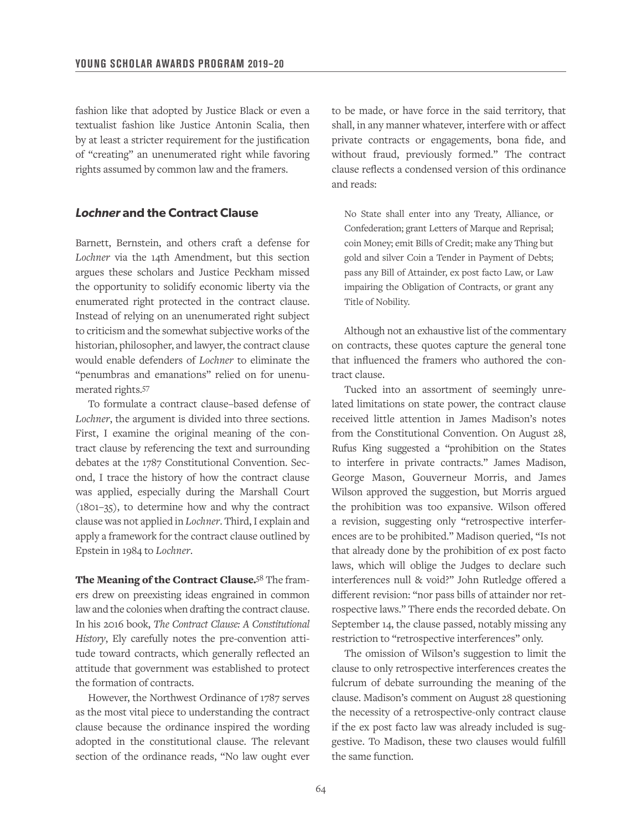fashion like that adopted by Justice Black or even a textualist fashion like Justice Antonin Scalia, then by at least a stricter requirement for the justification of "creating" an unenumerated right while favoring rights assumed by common law and the framers.

#### *Lochner* **and the Contract Clause**

Barnett, Bernstein, and others craft a defense for *Lochner* via the 14th Amendment, but this section argues these scholars and Justice Peckham missed the opportunity to solidify economic liberty via the enumerated right protected in the contract clause. Instead of relying on an unenumerated right subject to criticism and the somewhat subjective works of the historian, philosopher, and lawyer, the contract clause would enable defenders of *Lochner* to eliminate the "penumbras and emanations" relied on for unenumerated rights.57

To formulate a contract clause–based defense of *Lochner*, the argument is divided into three sections. First, I examine the original meaning of the contract clause by referencing the text and surrounding debates at the 1787 Constitutional Convention. Second, I trace the history of how the contract clause was applied, especially during the Marshall Court (1801–35), to determine how and why the contract clause was not applied in *Lochner*. Third, I explain and apply a framework for the contract clause outlined by Epstein in 1984 to *Lochner*.

The Meaning of the Contract Clause.<sup>58</sup> The framers drew on preexisting ideas engrained in common law and the colonies when drafting the contract clause. In his 2016 book, *The Contract Clause: A Constitutional History*, Ely carefully notes the pre-convention attitude toward contracts, which generally reflected an attitude that government was established to protect the formation of contracts.

However, the Northwest Ordinance of 1787 serves as the most vital piece to understanding the contract clause because the ordinance inspired the wording adopted in the constitutional clause. The relevant section of the ordinance reads, "No law ought ever

to be made, or have force in the said territory, that shall, in any manner whatever, interfere with or affect private contracts or engagements, bona fide, and without fraud, previously formed." The contract clause reflects a condensed version of this ordinance and reads:

No State shall enter into any Treaty, Alliance, or Confederation; grant Letters of Marque and Reprisal; coin Money; emit Bills of Credit; make any Thing but gold and silver Coin a Tender in Payment of Debts; pass any Bill of Attainder, ex post facto Law, or Law impairing the Obligation of Contracts, or grant any Title of Nobility.

Although not an exhaustive list of the commentary on contracts, these quotes capture the general tone that influenced the framers who authored the contract clause.

Tucked into an assortment of seemingly unrelated limitations on state power, the contract clause received little attention in James Madison's notes from the Constitutional Convention. On August 28, Rufus King suggested a "prohibition on the States to interfere in private contracts." James Madison, George Mason, Gouverneur Morris, and James Wilson approved the suggestion, but Morris argued the prohibition was too expansive. Wilson offered a revision, suggesting only "retrospective interferences are to be prohibited." Madison queried, "Is not that already done by the prohibition of ex post facto laws, which will oblige the Judges to declare such interferences null & void?" John Rutledge offered a different revision: "nor pass bills of attainder nor retrospective laws." There ends the recorded debate. On September 14, the clause passed, notably missing any restriction to "retrospective interferences" only.

The omission of Wilson's suggestion to limit the clause to only retrospective interferences creates the fulcrum of debate surrounding the meaning of the clause. Madison's comment on August 28 questioning the necessity of a retrospective-only contract clause if the ex post facto law was already included is suggestive. To Madison, these two clauses would fulfill the same function.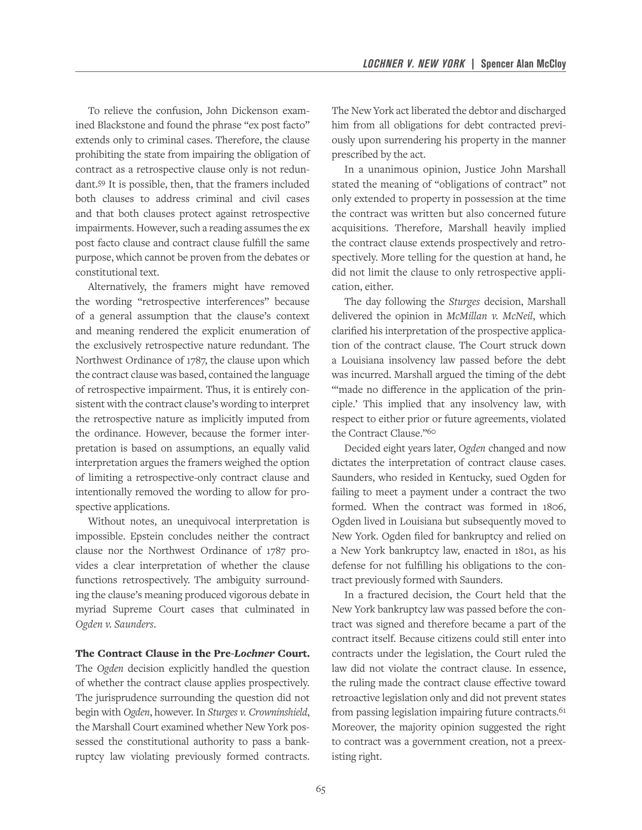To relieve the confusion, John Dickenson examined Blackstone and found the phrase "ex post facto" extends only to criminal cases. Therefore, the clause prohibiting the state from impairing the obligation of contract as a retrospective clause only is not redundant.59 It is possible, then, that the framers included both clauses to address criminal and civil cases and that both clauses protect against retrospective impairments. However, such a reading assumes the ex post facto clause and contract clause fulfill the same purpose, which cannot be proven from the debates or constitutional text.

Alternatively, the framers might have removed the wording "retrospective interferences" because of a general assumption that the clause's context and meaning rendered the explicit enumeration of the exclusively retrospective nature redundant. The Northwest Ordinance of 1787, the clause upon which the contract clause was based, contained the language of retrospective impairment. Thus, it is entirely consistent with the contract clause's wording to interpret the retrospective nature as implicitly imputed from the ordinance. However, because the former interpretation is based on assumptions, an equally valid interpretation argues the framers weighed the option of limiting a retrospective-only contract clause and intentionally removed the wording to allow for prospective applications.

Without notes, an unequivocal interpretation is impossible. Epstein concludes neither the contract clause nor the Northwest Ordinance of 1787 provides a clear interpretation of whether the clause functions retrospectively. The ambiguity surrounding the clause's meaning produced vigorous debate in myriad Supreme Court cases that culminated in *Ogden v. Saunders*.

The Contract Clause in the Pre-*Lochner* Court.

The *Ogden* decision explicitly handled the question of whether the contract clause applies prospectively. The jurisprudence surrounding the question did not begin with *Ogden*, however. In *Sturges v. Crowninshield*, the Marshall Court examined whether New York possessed the constitutional authority to pass a bankruptcy law violating previously formed contracts. The New York act liberated the debtor and discharged him from all obligations for debt contracted previously upon surrendering his property in the manner prescribed by the act.

In a unanimous opinion, Justice John Marshall stated the meaning of "obligations of contract" not only extended to property in possession at the time the contract was written but also concerned future acquisitions. Therefore, Marshall heavily implied the contract clause extends prospectively and retrospectively. More telling for the question at hand, he did not limit the clause to only retrospective application, either.

The day following the *Sturges* decision, Marshall delivered the opinion in *McMillan v. McNeil*, which clarified his interpretation of the prospective application of the contract clause. The Court struck down a Louisiana insolvency law passed before the debt was incurred. Marshall argued the timing of the debt "made no difference in the application of the principle.' This implied that any insolvency law, with respect to either prior or future agreements, violated the Contract Clause."60

Decided eight years later, *Ogden* changed and now dictates the interpretation of contract clause cases. Saunders, who resided in Kentucky, sued Ogden for failing to meet a payment under a contract the two formed. When the contract was formed in 1806, Ogden lived in Louisiana but subsequently moved to New York. Ogden filed for bankruptcy and relied on a New York bankruptcy law, enacted in 1801, as his defense for not fulfilling his obligations to the contract previously formed with Saunders.

In a fractured decision, the Court held that the New York bankruptcy law was passed before the contract was signed and therefore became a part of the contract itself. Because citizens could still enter into contracts under the legislation, the Court ruled the law did not violate the contract clause. In essence, the ruling made the contract clause effective toward retroactive legislation only and did not prevent states from passing legislation impairing future contracts.<sup>61</sup> Moreover, the majority opinion suggested the right to contract was a government creation, not a preexisting right.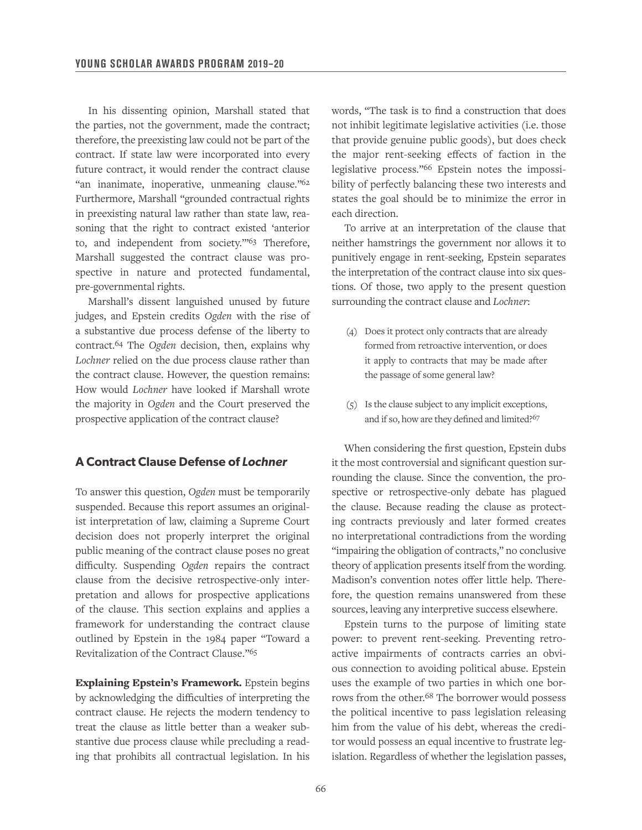In his dissenting opinion, Marshall stated that the parties, not the government, made the contract; therefore, the preexisting law could not be part of the contract. If state law were incorporated into every future contract, it would render the contract clause "an inanimate, inoperative, unmeaning clause."<sup>62</sup> Furthermore, Marshall "grounded contractual rights in preexisting natural law rather than state law, reasoning that the right to contract existed 'anterior to, and independent from society.'"63 Therefore, Marshall suggested the contract clause was prospective in nature and protected fundamental, pre-governmental rights.

Marshall's dissent languished unused by future judges, and Epstein credits *Ogden* with the rise of a substantive due process defense of the liberty to contract.64 The *Ogden* decision, then, explains why *Lochner* relied on the due process clause rather than the contract clause. However, the question remains: How would *Lochner* have looked if Marshall wrote the majority in *Ogden* and the Court preserved the prospective application of the contract clause?

#### **A Contract Clause Defense of** *Lochner*

To answer this question, *Ogden* must be temporarily suspended. Because this report assumes an originalist interpretation of law, claiming a Supreme Court decision does not properly interpret the original public meaning of the contract clause poses no great difficulty. Suspending *Ogden* repairs the contract clause from the decisive retrospective-only interpretation and allows for prospective applications of the clause. This section explains and applies a framework for understanding the contract clause outlined by Epstein in the 1984 paper "Toward a Revitalization of the Contract Clause."65

Explaining Epstein's Framework. Epstein begins by acknowledging the difficulties of interpreting the contract clause. He rejects the modern tendency to treat the clause as little better than a weaker substantive due process clause while precluding a reading that prohibits all contractual legislation. In his words, "The task is to find a construction that does not inhibit legitimate legislative activities (i.e. those that provide genuine public goods), but does check the major rent-seeking effects of faction in the legislative process."66 Epstein notes the impossibility of perfectly balancing these two interests and states the goal should be to minimize the error in each direction.

To arrive at an interpretation of the clause that neither hamstrings the government nor allows it to punitively engage in rent-seeking, Epstein separates the interpretation of the contract clause into six questions. Of those, two apply to the present question surrounding the contract clause and *Lochner*:

- (4) Does it protect only contracts that are already formed from retroactive intervention, or does it apply to contracts that may be made after the passage of some general law?
- (5) Is the clause subject to any implicit exceptions, and if so, how are they defined and limited?<sup>67</sup>

When considering the first question, Epstein dubs it the most controversial and significant question surrounding the clause. Since the convention, the prospective or retrospective-only debate has plagued the clause. Because reading the clause as protecting contracts previously and later formed creates no interpretational contradictions from the wording "impairing the obligation of contracts," no conclusive theory of application presents itself from the wording. Madison's convention notes offer little help. Therefore, the question remains unanswered from these sources, leaving any interpretive success elsewhere.

Epstein turns to the purpose of limiting state power: to prevent rent-seeking. Preventing retroactive impairments of contracts carries an obvious connection to avoiding political abuse. Epstein uses the example of two parties in which one borrows from the other.68 The borrower would possess the political incentive to pass legislation releasing him from the value of his debt, whereas the creditor would possess an equal incentive to frustrate legislation. Regardless of whether the legislation passes,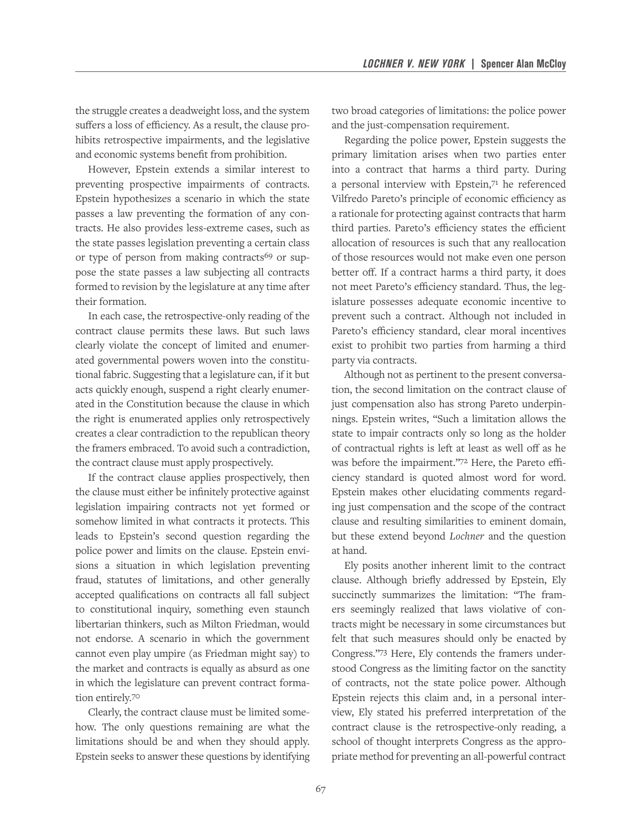the struggle creates a deadweight loss, and the system suffers a loss of efficiency. As a result, the clause prohibits retrospective impairments, and the legislative and economic systems benefit from prohibition.

However, Epstein extends a similar interest to preventing prospective impairments of contracts. Epstein hypothesizes a scenario in which the state passes a law preventing the formation of any contracts. He also provides less-extreme cases, such as the state passes legislation preventing a certain class or type of person from making contracts<sup>69</sup> or suppose the state passes a law subjecting all contracts formed to revision by the legislature at any time after their formation.

In each case, the retrospective-only reading of the contract clause permits these laws. But such laws clearly violate the concept of limited and enumerated governmental powers woven into the constitutional fabric. Suggesting that a legislature can, if it but acts quickly enough, suspend a right clearly enumerated in the Constitution because the clause in which the right is enumerated applies only retrospectively creates a clear contradiction to the republican theory the framers embraced. To avoid such a contradiction, the contract clause must apply prospectively.

If the contract clause applies prospectively, then the clause must either be infinitely protective against legislation impairing contracts not yet formed or somehow limited in what contracts it protects. This leads to Epstein's second question regarding the police power and limits on the clause. Epstein envisions a situation in which legislation preventing fraud, statutes of limitations, and other generally accepted qualifications on contracts all fall subject to constitutional inquiry, something even staunch libertarian thinkers, such as Milton Friedman, would not endorse. A scenario in which the government cannot even play umpire (as Friedman might say) to the market and contracts is equally as absurd as one in which the legislature can prevent contract formation entirely.70

Clearly, the contract clause must be limited somehow. The only questions remaining are what the limitations should be and when they should apply. Epstein seeks to answer these questions by identifying two broad categories of limitations: the police power and the just-compensation requirement.

Regarding the police power, Epstein suggests the primary limitation arises when two parties enter into a contract that harms a third party. During a personal interview with Epstein,71 he referenced Vilfredo Pareto's principle of economic efficiency as a rationale for protecting against contracts that harm third parties. Pareto's efficiency states the efficient allocation of resources is such that any reallocation of those resources would not make even one person better off. If a contract harms a third party, it does not meet Pareto's efficiency standard. Thus, the legislature possesses adequate economic incentive to prevent such a contract. Although not included in Pareto's efficiency standard, clear moral incentives exist to prohibit two parties from harming a third party via contracts.

Although not as pertinent to the present conversation, the second limitation on the contract clause of just compensation also has strong Pareto underpinnings. Epstein writes, "Such a limitation allows the state to impair contracts only so long as the holder of contractual rights is left at least as well off as he was before the impairment."72 Here, the Pareto efficiency standard is quoted almost word for word. Epstein makes other elucidating comments regarding just compensation and the scope of the contract clause and resulting similarities to eminent domain, but these extend beyond *Lochner* and the question at hand.

Ely posits another inherent limit to the contract clause. Although briefly addressed by Epstein, Ely succinctly summarizes the limitation: "The framers seemingly realized that laws violative of contracts might be necessary in some circumstances but felt that such measures should only be enacted by Congress."73 Here, Ely contends the framers understood Congress as the limiting factor on the sanctity of contracts, not the state police power. Although Epstein rejects this claim and, in a personal interview, Ely stated his preferred interpretation of the contract clause is the retrospective-only reading, a school of thought interprets Congress as the appropriate method for preventing an all-powerful contract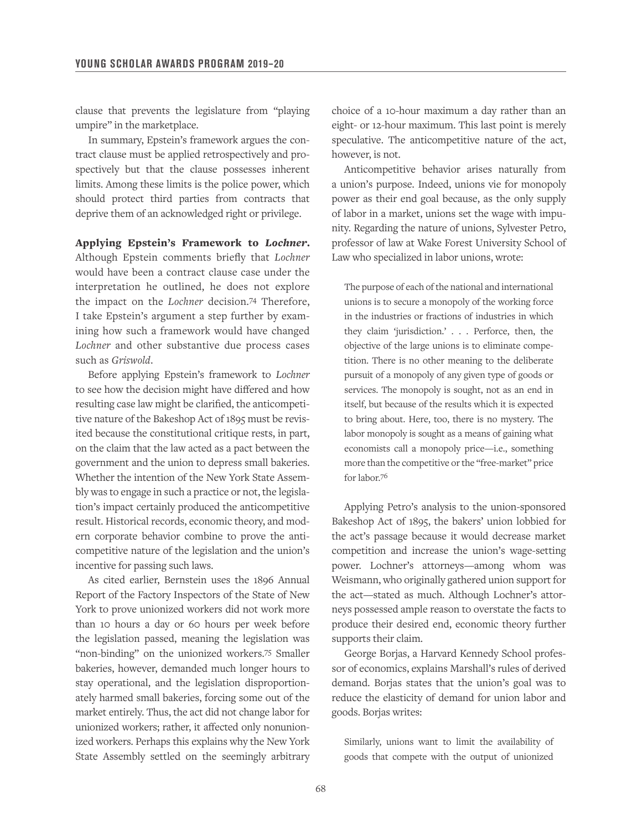clause that prevents the legislature from "playing umpire" in the marketplace.

In summary, Epstein's framework argues the contract clause must be applied retrospectively and prospectively but that the clause possesses inherent limits. Among these limits is the police power, which should protect third parties from contracts that deprive them of an acknowledged right or privilege.

Applying Epstein's Framework to *Lochner*. Although Epstein comments briefly that *Lochner*  would have been a contract clause case under the interpretation he outlined, he does not explore the impact on the *Lochner* decision.74 Therefore, I take Epstein's argument a step further by examining how such a framework would have changed *Lochner* and other substantive due process cases such as *Griswold*.

Before applying Epstein's framework to *Lochner*  to see how the decision might have differed and how resulting case law might be clarified, the anticompetitive nature of the Bakeshop Act of 1895 must be revisited because the constitutional critique rests, in part, on the claim that the law acted as a pact between the government and the union to depress small bakeries. Whether the intention of the New York State Assembly was to engage in such a practice or not, the legislation's impact certainly produced the anticompetitive result. Historical records, economic theory, and modern corporate behavior combine to prove the anticompetitive nature of the legislation and the union's incentive for passing such laws.

As cited earlier, Bernstein uses the 1896 Annual Report of the Factory Inspectors of the State of New York to prove unionized workers did not work more than 10 hours a day or 60 hours per week before the legislation passed, meaning the legislation was "non-binding" on the unionized workers.75 Smaller bakeries, however, demanded much longer hours to stay operational, and the legislation disproportionately harmed small bakeries, forcing some out of the market entirely. Thus, the act did not change labor for unionized workers; rather, it affected only nonunionized workers. Perhaps this explains why the New York State Assembly settled on the seemingly arbitrary choice of a 10-hour maximum a day rather than an eight- or 12-hour maximum. This last point is merely speculative. The anticompetitive nature of the act, however, is not.

Anticompetitive behavior arises naturally from a union's purpose. Indeed, unions vie for monopoly power as their end goal because, as the only supply of labor in a market, unions set the wage with impunity. Regarding the nature of unions, Sylvester Petro, professor of law at Wake Forest University School of Law who specialized in labor unions, wrote:

The purpose of each of the national and international unions is to secure a monopoly of the working force in the industries or fractions of industries in which they claim 'jurisdiction.' . . . Perforce, then, the objective of the large unions is to eliminate competition. There is no other meaning to the deliberate pursuit of a monopoly of any given type of goods or services. The monopoly is sought, not as an end in itself, but because of the results which it is expected to bring about. Here, too, there is no mystery. The labor monopoly is sought as a means of gaining what economists call a monopoly price—i.e., something more than the competitive or the "free-market" price for labor.76

Applying Petro's analysis to the union-sponsored Bakeshop Act of 1895, the bakers' union lobbied for the act's passage because it would decrease market competition and increase the union's wage-setting power. Lochner's attorneys—among whom was Weismann, who originally gathered union support for the act—stated as much. Although Lochner's attorneys possessed ample reason to overstate the facts to produce their desired end, economic theory further supports their claim.

George Borjas, a Harvard Kennedy School professor of economics, explains Marshall's rules of derived demand. Borjas states that the union's goal was to reduce the elasticity of demand for union labor and goods. Borjas writes:

Similarly, unions want to limit the availability of goods that compete with the output of unionized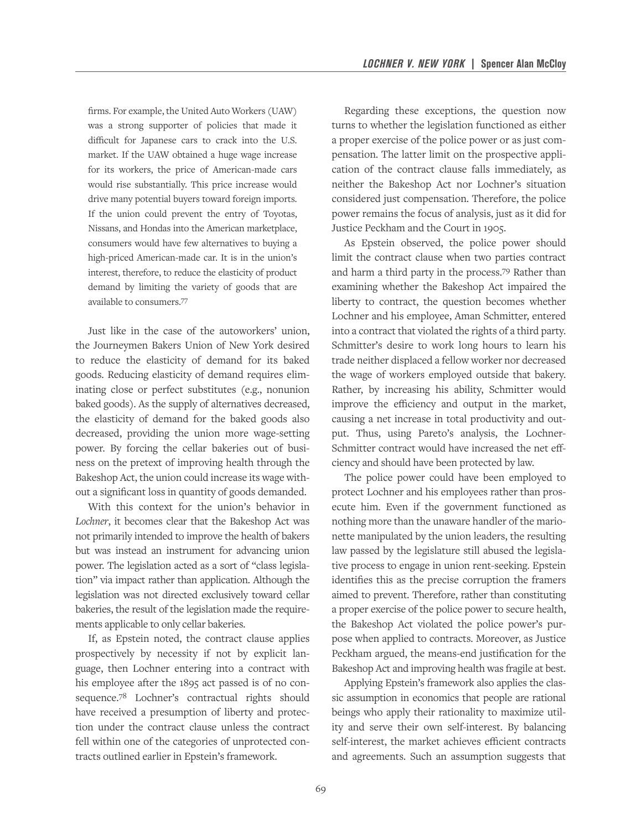firms. For example, the United Auto Workers (UAW) was a strong supporter of policies that made it difficult for Japanese cars to crack into the U.S. market. If the UAW obtained a huge wage increase for its workers, the price of American-made cars would rise substantially. This price increase would drive many potential buyers toward foreign imports. If the union could prevent the entry of Toyotas, Nissans, and Hondas into the American marketplace, consumers would have few alternatives to buying a high-priced American-made car. It is in the union's interest, therefore, to reduce the elasticity of product demand by limiting the variety of goods that are available to consumers.77

Just like in the case of the autoworkers' union, the Journeymen Bakers Union of New York desired to reduce the elasticity of demand for its baked goods. Reducing elasticity of demand requires eliminating close or perfect substitutes (e.g., nonunion baked goods). As the supply of alternatives decreased, the elasticity of demand for the baked goods also decreased, providing the union more wage-setting power. By forcing the cellar bakeries out of business on the pretext of improving health through the Bakeshop Act, the union could increase its wage without a significant loss in quantity of goods demanded.

With this context for the union's behavior in *Lochner*, it becomes clear that the Bakeshop Act was not primarily intended to improve the health of bakers but was instead an instrument for advancing union power. The legislation acted as a sort of "class legislation" via impact rather than application. Although the legislation was not directed exclusively toward cellar bakeries, the result of the legislation made the requirements applicable to only cellar bakeries.

If, as Epstein noted, the contract clause applies prospectively by necessity if not by explicit language, then Lochner entering into a contract with his employee after the 1895 act passed is of no consequence.78 Lochner's contractual rights should have received a presumption of liberty and protection under the contract clause unless the contract fell within one of the categories of unprotected contracts outlined earlier in Epstein's framework.

Regarding these exceptions, the question now turns to whether the legislation functioned as either a proper exercise of the police power or as just compensation. The latter limit on the prospective application of the contract clause falls immediately, as neither the Bakeshop Act nor Lochner's situation considered just compensation. Therefore, the police power remains the focus of analysis, just as it did for Justice Peckham and the Court in 1905.

As Epstein observed, the police power should limit the contract clause when two parties contract and harm a third party in the process.79 Rather than examining whether the Bakeshop Act impaired the liberty to contract, the question becomes whether Lochner and his employee, Aman Schmitter, entered into a contract that violated the rights of a third party. Schmitter's desire to work long hours to learn his trade neither displaced a fellow worker nor decreased the wage of workers employed outside that bakery. Rather, by increasing his ability, Schmitter would improve the efficiency and output in the market, causing a net increase in total productivity and output. Thus, using Pareto's analysis, the Lochner-Schmitter contract would have increased the net effciency and should have been protected by law.

The police power could have been employed to protect Lochner and his employees rather than prosecute him. Even if the government functioned as nothing more than the unaware handler of the marionette manipulated by the union leaders, the resulting law passed by the legislature still abused the legislative process to engage in union rent-seeking. Epstein identifies this as the precise corruption the framers aimed to prevent. Therefore, rather than constituting a proper exercise of the police power to secure health, the Bakeshop Act violated the police power's purpose when applied to contracts. Moreover, as Justice Peckham argued, the means-end justification for the Bakeshop Act and improving health was fragile at best.

Applying Epstein's framework also applies the classic assumption in economics that people are rational beings who apply their rationality to maximize utility and serve their own self-interest. By balancing self-interest, the market achieves efficient contracts and agreements. Such an assumption suggests that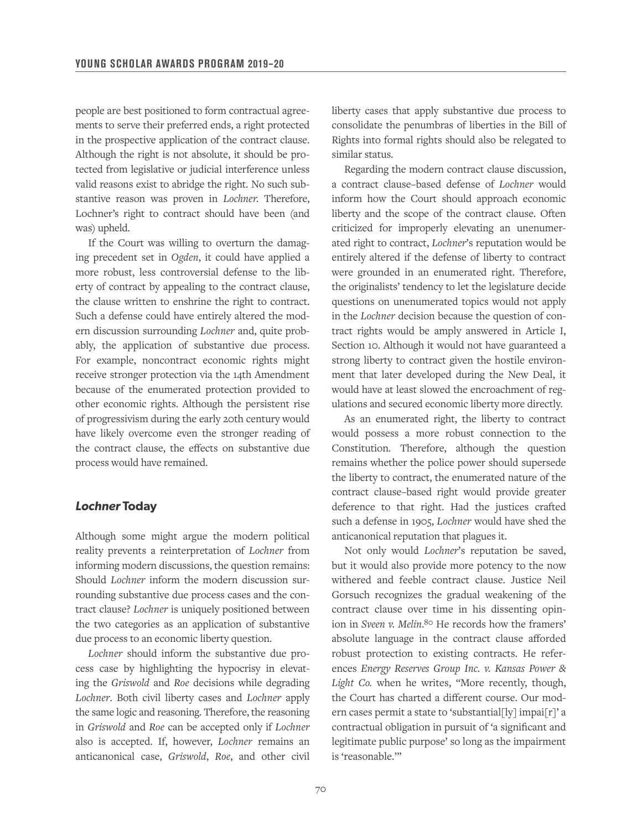people are best positioned to form contractual agreements to serve their preferred ends, a right protected in the prospective application of the contract clause. Although the right is not absolute, it should be protected from legislative or judicial interference unless valid reasons exist to abridge the right. No such substantive reason was proven in *Lochner*. Therefore, Lochner's right to contract should have been (and was) upheld.

If the Court was willing to overturn the damaging precedent set in *Ogden*, it could have applied a more robust, less controversial defense to the liberty of contract by appealing to the contract clause, the clause written to enshrine the right to contract. Such a defense could have entirely altered the modern discussion surrounding *Lochner* and, quite probably, the application of substantive due process. For example, noncontract economic rights might receive stronger protection via the 14th Amendment because of the enumerated protection provided to other economic rights. Although the persistent rise of progressivism during the early 20th century would have likely overcome even the stronger reading of the contract clause, the effects on substantive due process would have remained.

#### *Lochner* **Today**

Although some might argue the modern political reality prevents a reinterpretation of *Lochner* from informing modern discussions, the question remains: Should *Lochner* inform the modern discussion surrounding substantive due process cases and the contract clause? *Lochner* is uniquely positioned between the two categories as an application of substantive due process to an economic liberty question.

*Lochner* should inform the substantive due process case by highlighting the hypocrisy in elevating the *Griswold* and *Roe* decisions while degrading *Lochner*. Both civil liberty cases and *Lochner* apply the same logic and reasoning. Therefore, the reasoning in *Griswold* and *Roe* can be accepted only if *Lochner*  also is accepted. If, however, *Lochner* remains an anticanonical case, *Griswold*, *Roe*, and other civil liberty cases that apply substantive due process to consolidate the penumbras of liberties in the Bill of Rights into formal rights should also be relegated to similar status.

Regarding the modern contract clause discussion, a contract clause–based defense of *Lochner* would inform how the Court should approach economic liberty and the scope of the contract clause. Often criticized for improperly elevating an unenumerated right to contract, *Lochner*'s reputation would be entirely altered if the defense of liberty to contract were grounded in an enumerated right. Therefore, the originalists' tendency to let the legislature decide questions on unenumerated topics would not apply in the *Lochner* decision because the question of contract rights would be amply answered in Article I, Section 10. Although it would not have guaranteed a strong liberty to contract given the hostile environment that later developed during the New Deal, it would have at least slowed the encroachment of regulations and secured economic liberty more directly.

As an enumerated right, the liberty to contract would possess a more robust connection to the Constitution. Therefore, although the question remains whether the police power should supersede the liberty to contract, the enumerated nature of the contract clause–based right would provide greater deference to that right. Had the justices crafted such a defense in 1905, *Lochner* would have shed the anticanonical reputation that plagues it.

Not only would *Lochner*'s reputation be saved, but it would also provide more potency to the now withered and feeble contract clause. Justice Neil Gorsuch recognizes the gradual weakening of the contract clause over time in his dissenting opinion in *Sveen v. Melin*. 80 He records how the framers' absolute language in the contract clause afforded robust protection to existing contracts. He references *Energy Reserves Group Inc. v. Kansas Power & Light Co.* when he writes, "More recently, though, the Court has charted a different course. Our modern cases permit a state to 'substantial[ly] impai[r]' a contractual obligation in pursuit of 'a significant and legitimate public purpose' so long as the impairment is 'reasonable.'"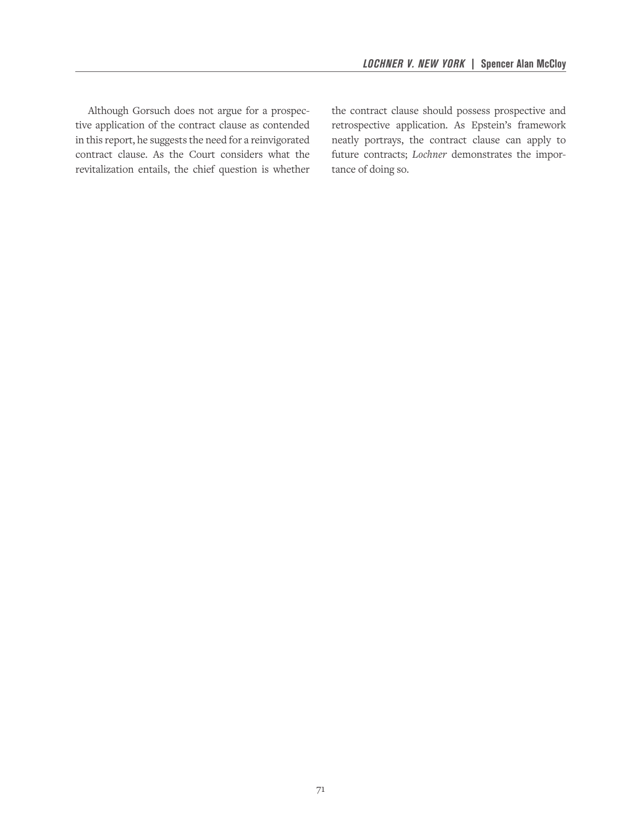Although Gorsuch does not argue for a prospective application of the contract clause as contended in this report, he suggests the need for a reinvigorated contract clause. As the Court considers what the revitalization entails, the chief question is whether the contract clause should possess prospective and retrospective application. As Epstein's framework neatly portrays, the contract clause can apply to future contracts; *Lochner* demonstrates the importance of doing so.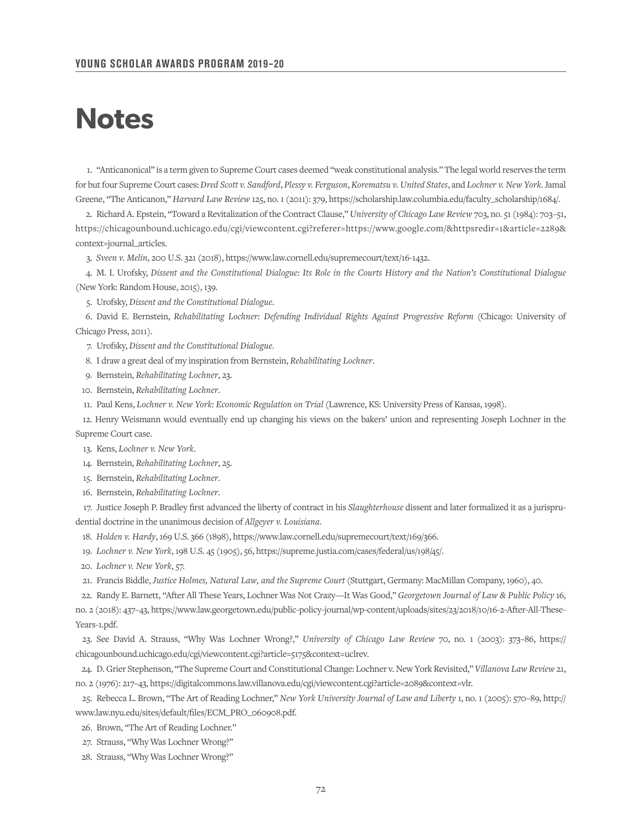## **Notes**

1. "Anticanonical" is a term given to Supreme Court cases deemed "weak constitutional analysis." The legal world reserves the term for but four Supreme Court cases: *Dred Scott v. Sandford*, *Plessy v. Ferguson*, *Korematsu v. United States*, and *Lochner v. New York*. Jamal Greene, "The Anticanon," *Harvard Law Review* 125, no. 1 (2011): 379, https://scholarship.law.columbia.edu/faculty\_scholarship/1684/.

2. Richard A. Epstein, "Toward a Revitalization of the Contract Clause," *University of Chicago Law Review* 703, no. 51 (1984): 703–51, https://chicagounbound.uchicago.edu/cgi/viewcontent.cgi?referer=https://www.google.com/&httpsredir=1&article=2289& context=journal\_articles.

3. *Sveen v. Melin*, 200 U.S. 321 (2018), https://www.law.cornell.edu/supremecourt/text/16-1432.

4. M. I. Urofsky, *Dissent and the Constitutional Dialogue: Its Role in the Courts History and the Nation's Constitutional Dialogue* (New York: Random House, 2015), 139.

5. Urofsky, *Dissent and the Constitutional Dialogue*.

6. David E. Bernstein, *Rehabilitating Lochner: Defending Individual Rights Against Progressive Reform* (Chicago: University of Chicago Press, 2011).

7. Urofsky, *Dissent and the Constitutional Dialogue*.

8. I draw a great deal of my inspiration from Bernstein, *Rehabilitating Lochner*.

9. Bernstein, *Rehabilitating Lochner*, 23.

10. Bernstein, *Rehabilitating Lochner*.

11. Paul Kens, *Lochner v. New York: Economic Regulation on Trial* (Lawrence, KS: University Press of Kansas, 1998).

12. Henry Weismann would eventually end up changing his views on the bakers' union and representing Joseph Lochner in the Supreme Court case.

13. Kens, *Lochner v. New York*.

14. Bernstein, *Rehabilitating Lochner*, 25.

15. Bernstein, *Rehabilitating Lochner*.

16. Bernstein, *Rehabilitating Lochner*.

17. Justice Joseph P. Bradley first advanced the liberty of contract in his *Slaughterhouse* dissent and later formalized it as a jurisprudential doctrine in the unanimous decision of *Allgeyer v. Louisiana*.

18. *Holden v. Hardy*, 169 U.S. 366 (1898), https://www.law.cornell.edu/supremecourt/text/169/366.

19. *Lochner v. New York*, 198 U.S. 45 (1905), 56, https://supreme.justia.com/cases/federal/us/198/45/.

20. *Lochner v. New York*, 57.

21. Francis Biddle, *Justice Holmes, Natural Law, and the Supreme Court* (Stuttgart, Germany: MacMillan Company, 1960), 40.

22. Randy E. Barnett, "After All These Years, Lochner Was Not Crazy—It Was Good," *Georgetown Journal of Law & Public Policy* 16, no. 2 (2018): 437–43, https://www.law.georgetown.edu/public-policy-journal/wp-content/uploads/sites/23/2018/10/16-2-After-All-These-Years-1.pdf.

23. See David A. Strauss, "Why Was Lochner Wrong?," *University of Chicago Law Review* 70, no. 1 (2003): 373–86, https:// chicagounbound.uchicago.edu/cgi/viewcontent.cgi?article=5175&context=uclrev.

24. D. Grier Stephenson, "The Supreme Court and Constitutional Change: Lochner v. New York Revisited," *Villanova Law Review* 21, no. 2 (1976): 217–43, https://digitalcommons.law.villanova.edu/cgi/viewcontent.cgi?article=2089&context=vlr.

25. Rebecca L. Brown, "The Art of Reading Lochner," *New York University Journal of Law and Liberty* 1, no. 1 (2005): 570–89, http:// www.law.nyu.edu/sites/default/files/ECM\_PRO\_060908.pdf.

26. Brown, "The Art of Reading Lochner."

27. Strauss, "Why Was Lochner Wrong?"

28. Strauss, "Why Was Lochner Wrong?"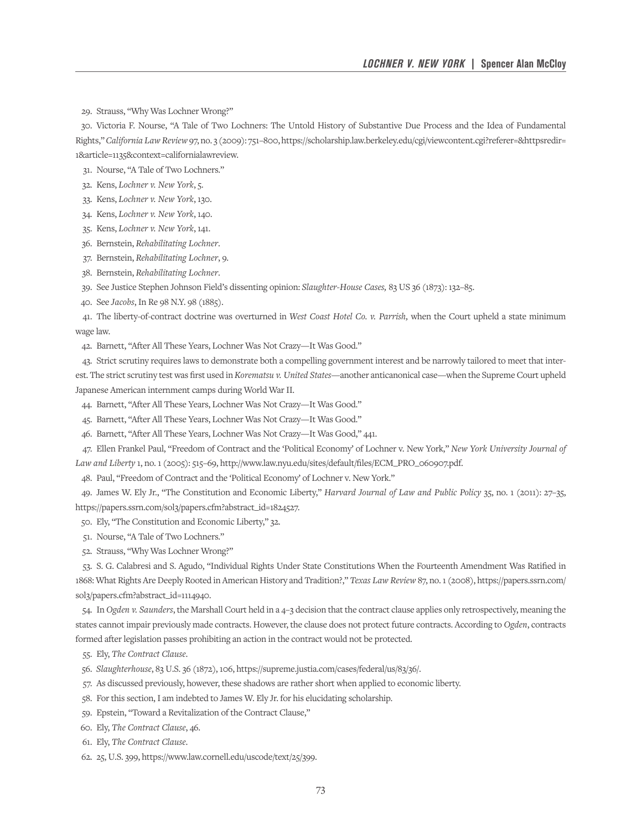29. Strauss, "Why Was Lochner Wrong?"

30. Victoria F. Nourse, "A Tale of Two Lochners: The Untold History of Substantive Due Process and the Idea of Fundamental Rights," *California Law Review* 97, no. 3 (2009): 751–800, https://scholarship.law.berkeley.edu/cgi/viewcontent.cgi?referer=&httpsredir= 1&article=1135&context=californialawreview.

31. Nourse, "A Tale of Two Lochners."

- 32. Kens, *Lochner v. New York*, 5.
- 33. Kens, *Lochner v. New York*, 130.
- 34. Kens, *Lochner v. New York*, 140.
- 35. Kens, *Lochner v. New York*, 141.
- 36. Bernstein, *Rehabilitating Lochner*.
- 37. Bernstein, *Rehabilitating Lochner*, 9.
- 38. Bernstein, *Rehabilitating Lochner*.
- 39. See Justice Stephen Johnson Field's dissenting opinion: *Slaughter-House Cases,* 83 US 36 (1873): 132–85.
- 40. See *Jacobs*, In Re 98 N.Y. 98 (1885).

41. The liberty-of-contract doctrine was overturned in *West Coast Hotel Co. v. Parrish,* when the Court upheld a state minimum wage law.

42. Barnett, "After All These Years, Lochner Was Not Crazy—It Was Good."

43. Strict scrutiny requires laws to demonstrate both a compelling government interest and be narrowly tailored to meet that interest. The strict scrutiny test was first used in *Korematsu v. United States*—another anticanonical case—when the Supreme Court upheld Japanese American internment camps during World War II.

44. Barnett, "After All These Years, Lochner Was Not Crazy—It Was Good."

45. Barnett, "After All These Years, Lochner Was Not Crazy—It Was Good."

46. Barnett, "After All These Years, Lochner Was Not Crazy—It Was Good," 441.

47. Ellen Frankel Paul, "Freedom of Contract and the 'Political Economy' of Lochner v. New York," *New York University Journal of Law and Liberty* 1, no. 1 (2005): 515–69, http://www.law.nyu.edu/sites/default/files/ECM\_PRO\_060907.pdf.

48. Paul, "Freedom of Contract and the 'Political Economy' of Lochner v. New York."

49. James W. Ely Jr., "The Constitution and Economic Liberty," *Harvard Journal of Law and Public Policy* 35, no. 1 (2011): 27–35, https://papers.ssrn.com/sol3/papers.cfm?abstract\_id=1824527.

- 50. Ely, "The Constitution and Economic Liberty," 32.
- 51. Nourse, "A Tale of Two Lochners."
- 52. Strauss, "Why Was Lochner Wrong?"

53. S. G. Calabresi and S. Agudo, "Individual Rights Under State Constitutions When the Fourteenth Amendment Was Ratified in 1868: What Rights Are Deeply Rooted in American History and Tradition?," *Texas Law Review* 87, no. 1 (2008), https://papers.ssrn.com/ sol3/papers.cfm?abstract\_id=1114940.

54. In *Ogden v. Saunders*, the Marshall Court held in a 4–3 decision that the contract clause applies only retrospectively, meaning the states cannot impair previously made contracts. However, the clause does not protect future contracts. According to *Ogden*, contracts formed after legislation passes prohibiting an action in the contract would not be protected.

- 55. Ely, *The Contract Clause*.
- 56. *Slaughterhouse*, 83 U.S. 36 (1872), 106, https://supreme.justia.com/cases/federal/us/83/36/.
- 57. As discussed previously, however, these shadows are rather short when applied to economic liberty.
- 58. For this section, I am indebted to James W. Ely Jr. for his elucidating scholarship.
- 59. Epstein, "Toward a Revitalization of the Contract Clause,"
- 60. Ely, *The Contract Clause*, 46.
- 61. Ely, *The Contract Clause*.
- 62. 25, U.S. 399, https://www.law.cornell.edu/uscode/text/25/399.